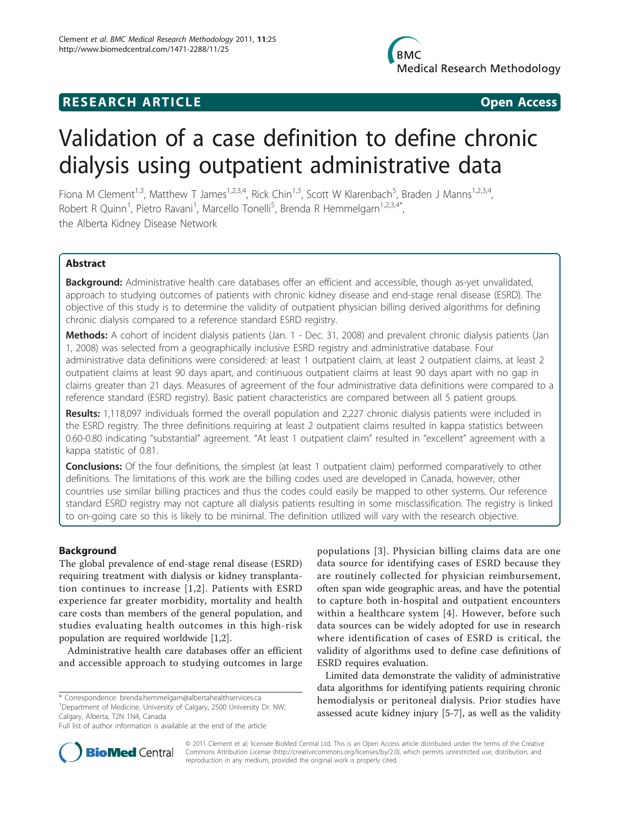## **RESEARCH ARTICLE Example 2018 CONSIDERING ACCESS**

# Validation of a case definition to define chronic dialysis using outpatient administrative data

Fiona M Clement<sup>1,3</sup>, Matthew T James<sup>1,2,3,4</sup>, Rick Chin<sup>1,3</sup>, Scott W Klarenbach<sup>5</sup>, Braden J Manns<sup>1,2,3,4</sup>, Robert R Quinn<sup>1</sup>, Pietro Ravani<sup>1</sup>, Marcello Tonelli<sup>5</sup>, Brenda R Hemmelgarn<sup>1,2,3,4\*</sup>, the Alberta Kidney Disease Network

## Abstract

Background: Administrative health care databases offer an efficient and accessible, though as-yet unvalidated, approach to studying outcomes of patients with chronic kidney disease and end-stage renal disease (ESRD). The objective of this study is to determine the validity of outpatient physician billing derived algorithms for defining chronic dialysis compared to a reference standard ESRD registry.

Methods: A cohort of incident dialysis patients (Jan. 1 - Dec. 31, 2008) and prevalent chronic dialysis patients (Jan 1, 2008) was selected from a geographically inclusive ESRD registry and administrative database. Four administrative data definitions were considered: at least 1 outpatient claim, at least 2 outpatient claims, at least 2 outpatient claims at least 90 days apart, and continuous outpatient claims at least 90 days apart with no gap in claims greater than 21 days. Measures of agreement of the four administrative data definitions were compared to a reference standard (ESRD registry). Basic patient characteristics are compared between all 5 patient groups.

Results: 1,118,097 individuals formed the overall population and 2,227 chronic dialysis patients were included in the ESRD registry. The three definitions requiring at least 2 outpatient claims resulted in kappa statistics between 0.60-0.80 indicating "substantial" agreement. "At least 1 outpatient claim" resulted in "excellent" agreement with a kappa statistic of 0.81.

**Conclusions:** Of the four definitions, the simplest (at least 1 outpatient claim) performed comparatively to other definitions. The limitations of this work are the billing codes used are developed in Canada, however, other countries use similar billing practices and thus the codes could easily be mapped to other systems. Our reference standard ESRD registry may not capture all dialysis patients resulting in some misclassification. The registry is linked to on-going care so this is likely to be minimal. The definition utilized will vary with the research objective.

## Background

The global prevalence of end-stage renal disease (ESRD) requiring treatment with dialysis or kidney transplantation continues to increase [[1,2\]](#page-5-0). Patients with ESRD experience far greater morbidity, mortality and health care costs than members of the general population, and studies evaluating health outcomes in this high-risk population are required worldwide [[1](#page-5-0),[2](#page-5-0)].

Administrative health care databases offer an efficient and accessible approach to studying outcomes in large

\* Correspondence: [brenda.hemmelgarn@albertahealthservices.ca](mailto:brenda.hemmelgarn@albertahealthservices.ca) <sup>1</sup>Department of Medicine, University of Calgary, 2500 University Dr. NW, Calgary, Alberta, T2N 1N4, Canada

populations [[3\]](#page-5-0). Physician billing claims data are one data source for identifying cases of ESRD because they are routinely collected for physician reimbursement, often span wide geographic areas, and have the potential to capture both in-hospital and outpatient encounters within a healthcare system [[4](#page-5-0)]. However, before such data sources can be widely adopted for use in research where identification of cases of ESRD is critical, the validity of algorithms used to define case definitions of ESRD requires evaluation.

Limited data demonstrate the validity of administrative data algorithms for identifying patients requiring chronic hemodialysis or peritoneal dialysis. Prior studies have assessed acute kidney injury [[5-7](#page-5-0)], as well as the validity



© 2011 Clement et al; licensee BioMed Central Ltd. This is an Open Access article distributed under the terms of the Creative Commons Attribution License [\(http://creativecommons.org/licenses/by/2.0](http://creativecommons.org/licenses/by/2.0)), which permits unrestricted use, distribution, and reproduction in any medium, provided the original work is properly cited.

Full list of author information is available at the end of the article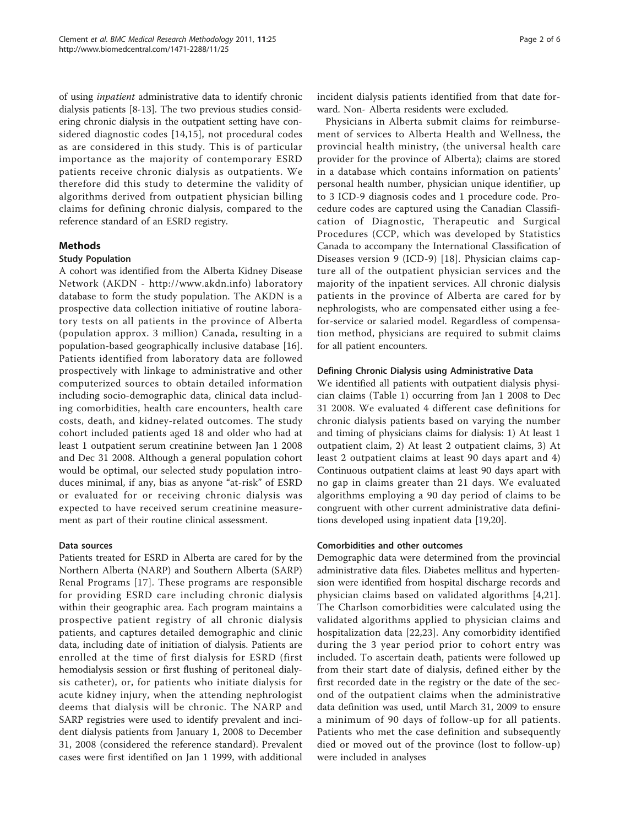of using inpatient administrative data to identify chronic dialysis patients [\[8](#page-5-0)-[13\]](#page-5-0). The two previous studies considering chronic dialysis in the outpatient setting have considered diagnostic codes [[14](#page-5-0),[15\]](#page-5-0), not procedural codes as are considered in this study. This is of particular importance as the majority of contemporary ESRD patients receive chronic dialysis as outpatients. We therefore did this study to determine the validity of algorithms derived from outpatient physician billing claims for defining chronic dialysis, compared to the reference standard of an ESRD registry.

## **Methods**

## Study Population

A cohort was identified from the Alberta Kidney Disease Network (AKDN -<http://www.akdn.info>) laboratory database to form the study population. The AKDN is a prospective data collection initiative of routine laboratory tests on all patients in the province of Alberta (population approx. 3 million) Canada, resulting in a population-based geographically inclusive database [\[16](#page-5-0)]. Patients identified from laboratory data are followed prospectively with linkage to administrative and other computerized sources to obtain detailed information including socio-demographic data, clinical data including comorbidities, health care encounters, health care costs, death, and kidney-related outcomes. The study cohort included patients aged 18 and older who had at least 1 outpatient serum creatinine between Jan 1 2008 and Dec 31 2008. Although a general population cohort would be optimal, our selected study population introduces minimal, if any, bias as anyone "at-risk" of ESRD or evaluated for or receiving chronic dialysis was expected to have received serum creatinine measurement as part of their routine clinical assessment.

### Data sources

Patients treated for ESRD in Alberta are cared for by the Northern Alberta (NARP) and Southern Alberta (SARP) Renal Programs [[17\]](#page-5-0). These programs are responsible for providing ESRD care including chronic dialysis within their geographic area. Each program maintains a prospective patient registry of all chronic dialysis patients, and captures detailed demographic and clinic data, including date of initiation of dialysis. Patients are enrolled at the time of first dialysis for ESRD (first hemodialysis session or first flushing of peritoneal dialysis catheter), or, for patients who initiate dialysis for acute kidney injury, when the attending nephrologist deems that dialysis will be chronic. The NARP and SARP registries were used to identify prevalent and incident dialysis patients from January 1, 2008 to December 31, 2008 (considered the reference standard). Prevalent cases were first identified on Jan 1 1999, with additional incident dialysis patients identified from that date forward. Non- Alberta residents were excluded.

Physicians in Alberta submit claims for reimbursement of services to Alberta Health and Wellness, the provincial health ministry, (the universal health care provider for the province of Alberta); claims are stored in a database which contains information on patients' personal health number, physician unique identifier, up to 3 ICD-9 diagnosis codes and 1 procedure code. Procedure codes are captured using the Canadian Classification of Diagnostic, Therapeutic and Surgical Procedures (CCP, which was developed by Statistics Canada to accompany the International Classification of Diseases version 9 (ICD-9) [[18](#page-5-0)]. Physician claims capture all of the outpatient physician services and the majority of the inpatient services. All chronic dialysis patients in the province of Alberta are cared for by nephrologists, who are compensated either using a feefor-service or salaried model. Regardless of compensation method, physicians are required to submit claims for all patient encounters.

### Defining Chronic Dialysis using Administrative Data

We identified all patients with outpatient dialysis physician claims (Table [1\)](#page-2-0) occurring from Jan 1 2008 to Dec 31 2008. We evaluated 4 different case definitions for chronic dialysis patients based on varying the number and timing of physicians claims for dialysis: 1) At least 1 outpatient claim, 2) At least 2 outpatient claims, 3) At least 2 outpatient claims at least 90 days apart and 4) Continuous outpatient claims at least 90 days apart with no gap in claims greater than 21 days. We evaluated algorithms employing a 90 day period of claims to be congruent with other current administrative data definitions developed using inpatient data [[19](#page-5-0),[20](#page-5-0)].

## Comorbidities and other outcomes

Demographic data were determined from the provincial administrative data files. Diabetes mellitus and hypertension were identified from hospital discharge records and physician claims based on validated algorithms [\[4](#page-5-0),[21](#page-5-0)]. The Charlson comorbidities were calculated using the validated algorithms applied to physician claims and hospitalization data [[22,23\]](#page-5-0). Any comorbidity identified during the 3 year period prior to cohort entry was included. To ascertain death, patients were followed up from their start date of dialysis, defined either by the first recorded date in the registry or the date of the second of the outpatient claims when the administrative data definition was used, until March 31, 2009 to ensure a minimum of 90 days of follow-up for all patients. Patients who met the case definition and subsequently died or moved out of the province (lost to follow-up) were included in analyses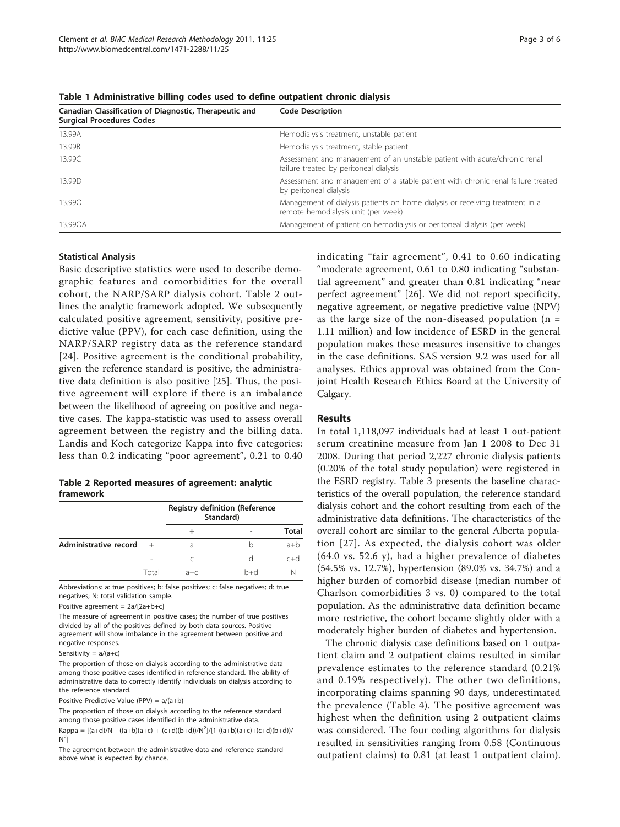| Canadian Classification of Diagnostic, Therapeutic and<br><b>Surgical Procedures Codes</b> | <b>Code Description</b>                                                                                             |
|--------------------------------------------------------------------------------------------|---------------------------------------------------------------------------------------------------------------------|
| 13.99A                                                                                     | Hemodialysis treatment, unstable patient                                                                            |
| 13.99B                                                                                     | Hemodialysis treatment, stable patient                                                                              |
| 13.99C                                                                                     | Assessment and management of an unstable patient with acute/chronic renal<br>failure treated by peritoneal dialysis |
| 13.99D                                                                                     | Assessment and management of a stable patient with chronic renal failure treated<br>by peritoneal dialysis          |
| 13.990                                                                                     | Management of dialysis patients on home dialysis or receiving treatment in a<br>remote hemodialysis unit (per week) |
| 13.99OA                                                                                    | Management of patient on hemodialysis or peritoneal dialysis (per week)                                             |

<span id="page-2-0"></span>Table 1 Administrative billing codes used to define outpatient chronic dialysis

#### Statistical Analysis

Basic descriptive statistics were used to describe demographic features and comorbidities for the overall cohort, the NARP/SARP dialysis cohort. Table 2 outlines the analytic framework adopted. We subsequently calculated positive agreement, sensitivity, positive predictive value (PPV), for each case definition, using the NARP/SARP registry data as the reference standard [[24](#page-5-0)]. Positive agreement is the conditional probability, given the reference standard is positive, the administrative data definition is also positive [[25\]](#page-5-0). Thus, the positive agreement will explore if there is an imbalance between the likelihood of agreeing on positive and negative cases. The kappa-statistic was used to assess overall agreement between the registry and the billing data. Landis and Koch categorize Kappa into five categories: less than 0.2 indicating "poor agreement", 0.21 to 0.40

| Table 2 Reported measures of agreement: analytic |  |  |
|--------------------------------------------------|--|--|
| framework                                        |  |  |

|                       |       | <b>Registry definition (Reference</b><br>Standard) |     |       |
|-----------------------|-------|----------------------------------------------------|-----|-------|
|                       |       |                                                    |     | Total |
| Administrative record |       |                                                    |     |       |
|                       | ۰     |                                                    |     |       |
|                       | Total | $a + c$                                            | h+d |       |

Abbreviations: a: true positives; b: false positives; c: false negatives; d: true negatives; N: total validation sample.

Positive agreement = 2a/[2a+b+c]

The measure of agreement in positive cases; the number of true positives divided by all of the positives defined by both data sources. Positive agreement will show imbalance in the agreement between positive and negative responses.

Sensitivity =  $a/(a+c)$ 

The proportion of those on dialysis according to the administrative data among those positive cases identified in reference standard. The ability of administrative data to correctly identify individuals on dialysis according to the reference standard.

Positive Predictive Value (PPV) = a/(a+b)

The proportion of those on dialysis according to the reference standard among those positive cases identified in the administrative data.  $Kappa = [(a+d)/N - ((a+b)(a+c) + (c+d)(b+d))/N^2]/[1 - ((a+b)(a+c) + (c+d)(b+d))$  $N^2$ 

The agreement between the administrative data and reference standard above what is expected by chance.

indicating "fair agreement", 0.41 to 0.60 indicating "moderate agreement, 0.61 to 0.80 indicating "substantial agreement" and greater than 0.81 indicating "near perfect agreement" [\[26\]](#page-5-0). We did not report specificity, negative agreement, or negative predictive value (NPV) as the large size of the non-diseased population  $(n =$ 1.11 million) and low incidence of ESRD in the general population makes these measures insensitive to changes in the case definitions. SAS version 9.2 was used for all analyses. Ethics approval was obtained from the Conjoint Health Research Ethics Board at the University of Calgary.

#### Results

In total 1,118,097 individuals had at least 1 out-patient serum creatinine measure from Jan 1 2008 to Dec 31 2008. During that period 2,227 chronic dialysis patients (0.20% of the total study population) were registered in the ESRD registry. Table [3](#page-3-0) presents the baseline characteristics of the overall population, the reference standard dialysis cohort and the cohort resulting from each of the administrative data definitions. The characteristics of the overall cohort are similar to the general Alberta population [[27](#page-5-0)]. As expected, the dialysis cohort was older (64.0 vs. 52.6 y), had a higher prevalence of diabetes (54.5% vs. 12.7%), hypertension (89.0% vs. 34.7%) and a higher burden of comorbid disease (median number of Charlson comorbidities 3 vs. 0) compared to the total population. As the administrative data definition became more restrictive, the cohort became slightly older with a moderately higher burden of diabetes and hypertension.

The chronic dialysis case definitions based on 1 outpatient claim and 2 outpatient claims resulted in similar prevalence estimates to the reference standard (0.21% and 0.19% respectively). The other two definitions, incorporating claims spanning 90 days, underestimated the prevalence (Table [4\)](#page-3-0). The positive agreement was highest when the definition using 2 outpatient claims was considered. The four coding algorithms for dialysis resulted in sensitivities ranging from 0.58 (Continuous outpatient claims) to 0.81 (at least 1 outpatient claim).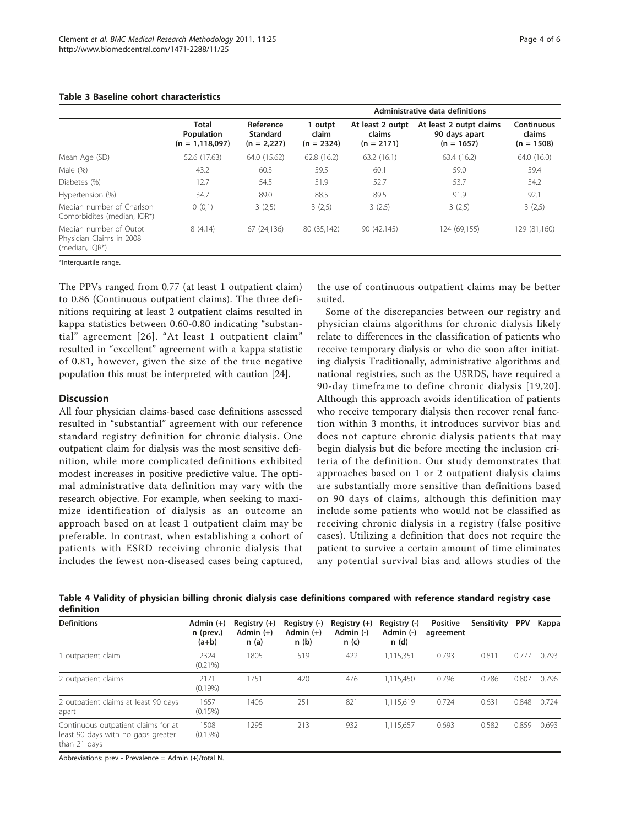|                                                                      | Administrative data definitions            |                                        |                                  |                                            |                                                          |                                      |
|----------------------------------------------------------------------|--------------------------------------------|----------------------------------------|----------------------------------|--------------------------------------------|----------------------------------------------------------|--------------------------------------|
|                                                                      | Total<br>Population<br>$(n = 1, 118, 097)$ | Reference<br>Standard<br>$(n = 2,227)$ | 1 outpt<br>claim<br>$(n = 2324)$ | At least 2 outpt<br>claims<br>$(n = 2171)$ | At least 2 outpt claims<br>90 days apart<br>$(n = 1657)$ | Continuous<br>claims<br>$(n = 1508)$ |
| Mean Age (SD)                                                        | 52.6 (17.63)                               | 64.0 (15.62)                           | 62.8(16.2)                       | 63.2(16.1)                                 | 63.4 (16.2)                                              | 64.0 (16.0)                          |
| Male (%)                                                             | 43.2                                       | 60.3                                   | 59.5                             | 60.1                                       | 59.0                                                     | 59.4                                 |
| Diabetes (%)                                                         | 12.7                                       | 54.5                                   | 51.9                             | 52.7                                       | 53.7                                                     | 54.2                                 |
| Hypertension (%)                                                     | 34.7                                       | 89.0                                   | 88.5                             | 89.5                                       | 91.9                                                     | 92.1                                 |
| Median number of Charlson<br>Comorbidites (median, IQR*)             | 0(0,1)                                     | 3(2,5)                                 | 3(2,5)                           | 3(2,5)                                     | 3(2,5)                                                   | 3(2,5)                               |
| Median number of Outpt<br>Physician Claims in 2008<br>(median, IOR*) | 8(4,14)                                    | 67 (24,136)                            | 80 (35,142)                      | 90 (42,145)                                | 124 (69.155)                                             | 129 (81,160)                         |

### <span id="page-3-0"></span>Table 3 Baseline cohort characteristics

\*Interquartile range.

The PPVs ranged from 0.77 (at least 1 outpatient claim) to 0.86 (Continuous outpatient claims). The three definitions requiring at least 2 outpatient claims resulted in kappa statistics between 0.60-0.80 indicating "substantial" agreement [[26\]](#page-5-0). "At least 1 outpatient claim" resulted in "excellent" agreement with a kappa statistic of 0.81, however, given the size of the true negative population this must be interpreted with caution [\[24\]](#page-5-0).

## **Discussion**

All four physician claims-based case definitions assessed resulted in "substantial" agreement with our reference standard registry definition for chronic dialysis. One outpatient claim for dialysis was the most sensitive definition, while more complicated definitions exhibited modest increases in positive predictive value. The optimal administrative data definition may vary with the research objective. For example, when seeking to maximize identification of dialysis as an outcome an approach based on at least 1 outpatient claim may be preferable. In contrast, when establishing a cohort of patients with ESRD receiving chronic dialysis that includes the fewest non-diseased cases being captured,

the use of continuous outpatient claims may be better suited.

Some of the discrepancies between our registry and physician claims algorithms for chronic dialysis likely relate to differences in the classification of patients who receive temporary dialysis or who die soon after initiating dialysis Traditionally, administrative algorithms and national registries, such as the USRDS, have required a 90-day timeframe to define chronic dialysis [[19,20\]](#page-5-0). Although this approach avoids identification of patients who receive temporary dialysis then recover renal function within 3 months, it introduces survivor bias and does not capture chronic dialysis patients that may begin dialysis but die before meeting the inclusion criteria of the definition. Our study demonstrates that approaches based on 1 or 2 outpatient dialysis claims are substantially more sensitive than definitions based on 90 days of claims, although this definition may include some patients who would not be classified as receiving chronic dialysis in a registry (false positive cases). Utilizing a definition that does not require the patient to survive a certain amount of time eliminates any potential survival bias and allows studies of the

Table 4 Validity of physician billing chronic dialysis case definitions compared with reference standard registry case definition

| <b>Definitions</b>                                                                        | Admin $(+)$<br>n (prev.)<br>$(a+b)$ | Registry $(+)$<br>Admin $(+)$<br>n(a) | Registry (-)<br>Admin $(+)$<br>n(b) | Registry $(+)$<br>Admin (-)<br>n(c) | Registry (-)<br>Admin (-)<br>n(d) | Positive<br>agreement | Sensitivity | <b>PPV</b> | Kappa |
|-------------------------------------------------------------------------------------------|-------------------------------------|---------------------------------------|-------------------------------------|-------------------------------------|-----------------------------------|-----------------------|-------------|------------|-------|
| outpatient claim                                                                          | 2324<br>$(0.21\%)$                  | 1805                                  | 519                                 | 422                                 | 1,115,351                         | 0.793                 | 0.811       | 0.77       | 0.793 |
| 2 outpatient claims                                                                       | 2171<br>$(0.19\%)$                  | 1751                                  | 420                                 | 476                                 | 1,115,450                         | 0.796                 | 0.786       | 0.807      | 0.796 |
| 2 outpatient claims at least 90 days<br>apart                                             | 1657<br>$(0.15\%)$                  | 1406                                  | 251                                 | 821                                 | 1,115,619                         | 0.724                 | 0.631       | 0.848      | 0.724 |
| Continuous outpatient claims for at<br>least 90 days with no gaps greater<br>than 21 days | 1508<br>$(0.13\%)$                  | 1295                                  | 213                                 | 932                                 | 1,115,657                         | 0.693                 | 0.582       | 0.859      | 0.693 |

Abbreviations: prev - Prevalence = Admin (+)/total N.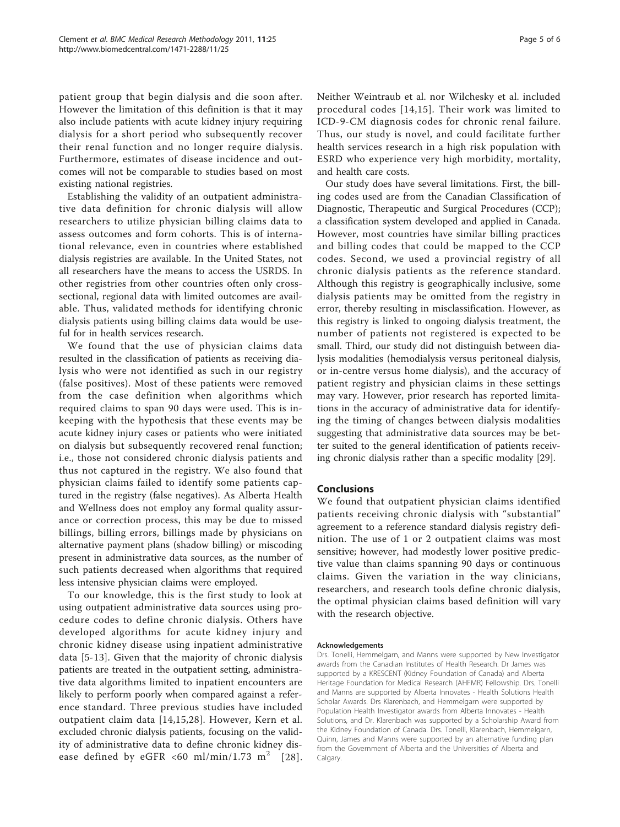patient group that begin dialysis and die soon after. However the limitation of this definition is that it may also include patients with acute kidney injury requiring dialysis for a short period who subsequently recover their renal function and no longer require dialysis. Furthermore, estimates of disease incidence and outcomes will not be comparable to studies based on most existing national registries.

Establishing the validity of an outpatient administrative data definition for chronic dialysis will allow researchers to utilize physician billing claims data to assess outcomes and form cohorts. This is of international relevance, even in countries where established dialysis registries are available. In the United States, not all researchers have the means to access the USRDS. In other registries from other countries often only crosssectional, regional data with limited outcomes are available. Thus, validated methods for identifying chronic dialysis patients using billing claims data would be useful for in health services research.

We found that the use of physician claims data resulted in the classification of patients as receiving dialysis who were not identified as such in our registry (false positives). Most of these patients were removed from the case definition when algorithms which required claims to span 90 days were used. This is inkeeping with the hypothesis that these events may be acute kidney injury cases or patients who were initiated on dialysis but subsequently recovered renal function; i.e., those not considered chronic dialysis patients and thus not captured in the registry. We also found that physician claims failed to identify some patients captured in the registry (false negatives). As Alberta Health and Wellness does not employ any formal quality assurance or correction process, this may be due to missed billings, billing errors, billings made by physicians on alternative payment plans (shadow billing) or miscoding present in administrative data sources, as the number of such patients decreased when algorithms that required less intensive physician claims were employed.

To our knowledge, this is the first study to look at using outpatient administrative data sources using procedure codes to define chronic dialysis. Others have developed algorithms for acute kidney injury and chronic kidney disease using inpatient administrative data [\[5](#page-5-0)-[13](#page-5-0)]. Given that the majority of chronic dialysis patients are treated in the outpatient setting, administrative data algorithms limited to inpatient encounters are likely to perform poorly when compared against a reference standard. Three previous studies have included outpatient claim data [[14](#page-5-0),[15,28\]](#page-5-0). However, Kern et al. excluded chronic dialysis patients, focusing on the validity of administrative data to define chronic kidney dis-ease defined by eGFR <60 ml/min/1.73 m<sup>2</sup> [[28\]](#page-5-0). Neither Weintraub et al. nor Wilchesky et al. included procedural codes [[14,15\]](#page-5-0). Their work was limited to ICD-9-CM diagnosis codes for chronic renal failure. Thus, our study is novel, and could facilitate further health services research in a high risk population with ESRD who experience very high morbidity, mortality, and health care costs.

Our study does have several limitations. First, the billing codes used are from the Canadian Classification of Diagnostic, Therapeutic and Surgical Procedures (CCP); a classification system developed and applied in Canada. However, most countries have similar billing practices and billing codes that could be mapped to the CCP codes. Second, we used a provincial registry of all chronic dialysis patients as the reference standard. Although this registry is geographically inclusive, some dialysis patients may be omitted from the registry in error, thereby resulting in misclassification. However, as this registry is linked to ongoing dialysis treatment, the number of patients not registered is expected to be small. Third, our study did not distinguish between dialysis modalities (hemodialysis versus peritoneal dialysis, or in-centre versus home dialysis), and the accuracy of patient registry and physician claims in these settings may vary. However, prior research has reported limitations in the accuracy of administrative data for identifying the timing of changes between dialysis modalities suggesting that administrative data sources may be better suited to the general identification of patients receiving chronic dialysis rather than a specific modality [[29\]](#page-5-0).

## Conclusions

We found that outpatient physician claims identified patients receiving chronic dialysis with "substantial" agreement to a reference standard dialysis registry definition. The use of 1 or 2 outpatient claims was most sensitive; however, had modestly lower positive predictive value than claims spanning 90 days or continuous claims. Given the variation in the way clinicians, researchers, and research tools define chronic dialysis, the optimal physician claims based definition will vary with the research objective.

#### Acknowledgements

Drs. Tonelli, Hemmelgarn, and Manns were supported by New Investigator awards from the Canadian Institutes of Health Research. Dr James was supported by a KRESCENT (Kidney Foundation of Canada) and Alberta Heritage Foundation for Medical Research (AHFMR) Fellowship. Drs. Tonelli and Manns are supported by Alberta Innovates - Health Solutions Health Scholar Awards. Drs Klarenbach, and Hemmelgarn were supported by Population Health Investigator awards from Alberta Innovates - Health Solutions, and Dr. Klarenbach was supported by a Scholarship Award from the Kidney Foundation of Canada. Drs. Tonelli, Klarenbach, Hemmelgarn, Quinn, James and Manns were supported by an alternative funding plan from the Government of Alberta and the Universities of Alberta and Calgary.